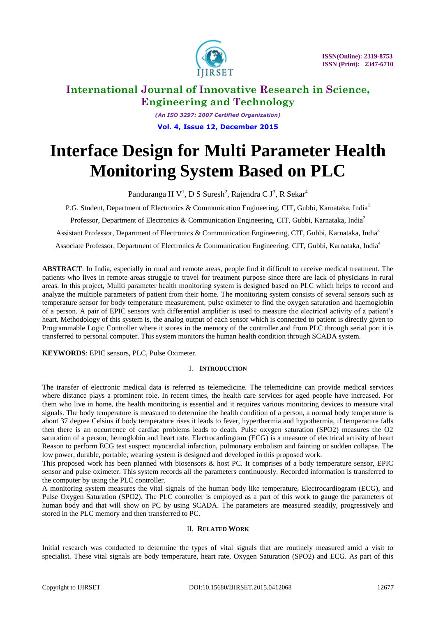

*(An ISO 3297: 2007 Certified Organization)* **Vol. 4, Issue 12, December 2015**

# **Interface Design for Multi Parameter Health Monitoring System Based on PLC**

Panduranga H V<sup>1</sup>, D S Suresh<sup>2</sup>, Rajendra C J<sup>3</sup>, R Sekar<sup>4</sup>

P.G. Student, Department of Electronics & Communication Engineering, CIT, Gubbi, Karnataka, India<sup>1</sup>

Professor, Department of Electronics & Communication Engineering, CIT, Gubbi, Karnataka, India<sup>2</sup>

Assistant Professor, Department of Electronics & Communication Engineering, CIT, Gubbi, Karnataka, India<sup>3</sup>

Associate Professor, Department of Electronics & Communication Engineering, CIT, Gubbi, Karnataka, India<sup>4</sup>

**ABSTRACT**: In India, especially in rural and remote areas, people find it difficult to receive medical treatment. The patients who lives in remote areas struggle to travel for treatment purpose since there are lack of physicians in rural areas. In this project, Muliti parameter health monitoring system is designed based on PLC which helps to record and analyze the multiple parameters of patient from their home. The monitoring system consists of several sensors such as temperature sensor for body temperature measurement, pulse oximeter to find the oxygen saturation and haemoglobin of a person. A pair of EPIC sensors with differential amplifier is used to measure the electrical activity of a patient's heart. Methodology of this system is, the analog output of each sensor which is connected to patient is directly given to Programmable Logic Controller where it stores in the memory of the controller and from PLC through serial port it is transferred to personal computer. This system monitors the human health condition through SCADA system.

**KEYWORDS**: EPIC sensors, PLC, Pulse Oximeter.

### I. **INTRODUCTION**

The transfer of electronic medical data is referred as telemedicine. The telemedicine can provide medical services where distance plays a prominent role. In recent times, the health care services for aged people have increased. For them who live in home, the health monitoring is essential and it requires various monitoring devices to measure vital signals. The body temperature is measured to determine the health condition of a person, a normal body temperature is about 37 degree Celsius if body temperature rises it leads to fever, hyperthermia and hypothermia, if temperature falls then there is an occurrence of cardiac problems leads to death. Pulse oxygen saturation (SPO2) measures the O2 saturation of a person, hemoglobin and heart rate. Electrocardiogram (ECG) is a measure of electrical activity of heart Reason to perform ECG test suspect myocardial infarction, pulmonary embolism and fainting or sudden collapse. The low power, durable, portable, wearing system is designed and developed in this proposed work.

This proposed work has been planned with biosensors & host PC. It comprises of a body temperature sensor, EPIC sensor and pulse oximeter. This system records all the parameters continuously. Recorded information is transferred to the computer by using the PLC controller.

A monitoring system measures the vital signals of the human body like temperature, Electrocardiogram (ECG), and Pulse Oxygen Saturation (SPO2). The PLC controller is employed as a part of this work to gauge the parameters of human body and that will show on PC by using SCADA. The parameters are measured steadily, progressively and stored in the PLC memory and then transferred to PC.

#### II. **RELATED WORK**

Initial research was conducted to determine the types of vital signals that are routinely measured amid a visit to specialist. These vital signals are body temperature, heart rate, Oxygen Saturation (SPO2) and ECG. As part of this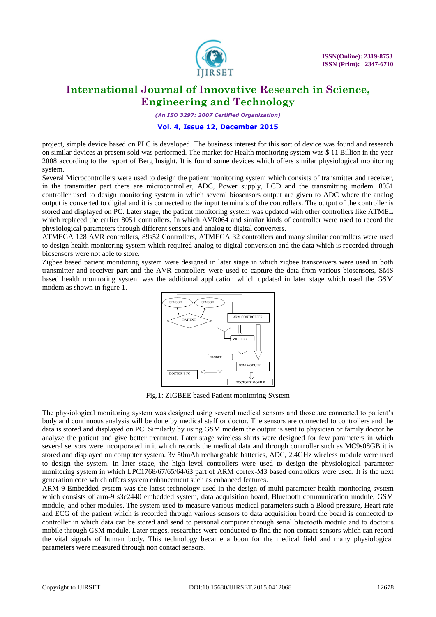

*(An ISO 3297: 2007 Certified Organization)*

#### **Vol. 4, Issue 12, December 2015**

project, simple device based on PLC is developed. The business interest for this sort of device was found and research on similar devices at present sold was performed. The market for Health monitoring system was \$ 11 Billion in the year 2008 according to the report of Berg Insight. It is found some devices which offers similar physiological monitoring system.

Several Microcontrollers were used to design the patient monitoring system which consists of transmitter and receiver, in the transmitter part there are microcontroller, ADC, Power supply, LCD and the transmitting modem. 8051 controller used to design monitoring system in which several biosensors output are given to ADC where the analog output is converted to digital and it is connected to the input terminals of the controllers. The output of the controller is stored and displayed on PC. Later stage, the patient monitoring system was updated with other controllers like ATMEL which replaced the earlier 8051 controllers. In which AVR064 and similar kinds of controller were used to record the physiological parameters through different sensors and analog to digital converters.

ATMEGA 128 AVR controllers, 89s52 Controllers, ATMEGA 32 controllers and many similar controllers were used to design health monitoring system which required analog to digital conversion and the data which is recorded through biosensors were not able to store.

Zigbee based patient monitoring system were designed in later stage in which zigbee transceivers were used in both transmitter and receiver part and the AVR controllers were used to capture the data from various biosensors, SMS based health monitoring system was the additional application which updated in later stage which used the GSM modem as shown in figure 1.



Fig.1: ZIGBEE based Patient monitoring System

The physiological monitoring system was designed using several medical sensors and those are connected to patient's body and continuous analysis will be done by medical staff or doctor. The sensors are connected to controllers and the data is stored and displayed on PC. Similarly by using GSM modem the output is sent to physician or family doctor he analyze the patient and give better treatment. Later stage wireless shirts were designed for few parameters in which several sensors were incorporated in it which records the medical data and through controller such as MC9s08GB it is stored and displayed on computer system. 3v 50mAh rechargeable batteries, ADC, 2.4GHz wireless module were used to design the system. In later stage, the high level controllers were used to design the physiological parameter monitoring system in which LPC1768/67/65/64/63 part of ARM cortex-M3 based controllers were used. It is the next generation core which offers system enhancement such as enhanced features.

ARM-9 Embedded system was the latest technology used in the design of multi-parameter health monitoring system which consists of arm-9 s3c2440 embedded system, data acquisition board, Bluetooth communication module, GSM module, and other modules. The system used to measure various medical parameters such a Blood pressure, Heart rate and ECG of the patient which is recorded through various sensors to data acquisition board the board is connected to controller in which data can be stored and send to personal computer through serial bluetooth module and to doctor's mobile through GSM module. Later stages, researches were conducted to find the non contact sensors which can record the vital signals of human body. This technology became a boon for the medical field and many physiological parameters were measured through non contact sensors.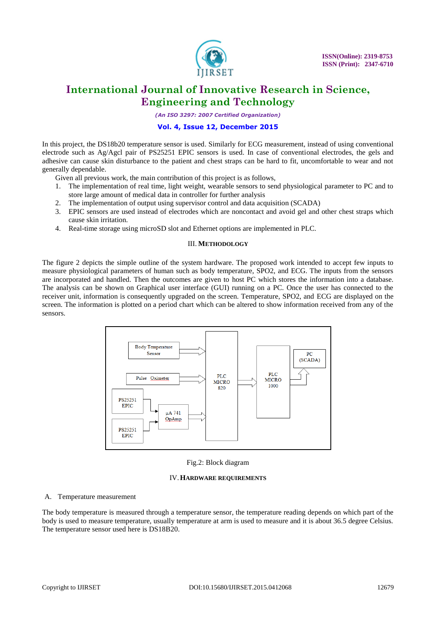

*(An ISO 3297: 2007 Certified Organization)*

#### **Vol. 4, Issue 12, December 2015**

In this project, the DS18b20 temperature sensor is used. Similarly for ECG measurement, instead of using conventional electrode such as Ag/Agcl pair of PS25251 EPIC sensors is used. In case of conventional electrodes, the gels and adhesive can cause skin disturbance to the patient and chest straps can be hard to fit, uncomfortable to wear and not generally dependable.

Given all previous work, the main contribution of this project is as follows,

- 1. The implementation of real time, light weight, wearable sensors to send physiological parameter to PC and to store large amount of medical data in controller for further analysis
- 2. The implementation of output using supervisor control and data acquisition (SCADA)
- 3. EPIC sensors are used instead of electrodes which are noncontact and avoid gel and other chest straps which cause skin irritation.
- 4. Real-time storage using microSD slot and Ethernet options are implemented in PLC.

#### III. **METHODOLOGY**

The figure 2 depicts the simple outline of the system hardware. The proposed work intended to accept few inputs to measure physiological parameters of human such as body temperature, SPO2, and ECG. The inputs from the sensors are incorporated and handled. Then the outcomes are given to host PC which stores the information into a database. The analysis can be shown on Graphical user interface (GUI) running on a PC. Once the user has connected to the receiver unit, information is consequently upgraded on the screen. Temperature, SPO2, and ECG are displayed on the screen. The information is plotted on a period chart which can be altered to show information received from any of the sensors.



Fig.2: Block diagram

#### IV.**HARDWARE REQUIREMENTS**

#### A. Temperature measurement

The body temperature is measured through a temperature sensor, the temperature reading depends on which part of the body is used to measure temperature, usually temperature at arm is used to measure and it is about 36.5 degree Celsius. The temperature sensor used here is DS18B20.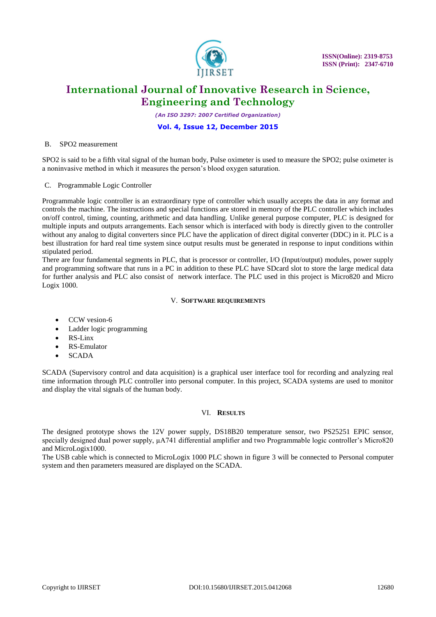![](_page_3_Picture_0.jpeg)

*(An ISO 3297: 2007 Certified Organization)*

#### **Vol. 4, Issue 12, December 2015**

#### B. SPO2 measurement

SPO2 is said to be a fifth vital signal of the human body, Pulse oximeter is used to measure the SPO2; pulse oximeter is a noninvasive method in which it measures the person's blood oxygen saturation.

C. Programmable Logic Controller

Programmable logic controller is an extraordinary type of controller which usually accepts the data in any format and controls the machine. The instructions and special functions are stored in memory of the PLC controller which includes on/off control, timing, counting, arithmetic and data handling. Unlike general purpose computer, PLC is designed for multiple inputs and outputs arrangements. Each sensor which is interfaced with body is directly given to the controller without any analog to digital converters since PLC have the application of direct digital converter (DDC) in it. PLC is a best illustration for hard real time system since output results must be generated in response to input conditions within stipulated period.

There are four fundamental segments in PLC, that is processor or controller, I/O (Input/output) modules, power supply and programming software that runs in a PC in addition to these PLC have SDcard slot to store the large medical data for further analysis and PLC also consist of network interface. The PLC used in this project is Micro820 and Micro Logix 1000.

#### V. **SOFTWARE REQUIREMENTS**

- CCW vesion-6
- Ladder logic programming
- RS-Linx
- RS-Emulator
- **SCADA**

SCADA (Supervisory control and data acquisition) is a graphical user interface tool for recording and analyzing real time information through PLC controller into personal computer. In this project, SCADA systems are used to monitor and display the vital signals of the human body.

#### VI. **RESULTS**

The designed prototype shows the 12V power supply, DS18B20 temperature sensor, two PS25251 EPIC sensor, specially designed dual power supply,  $\mu$ A741 differential amplifier and two Programmable logic controller's Micro820 and MicroLogix1000.

The USB cable which is connected to MicroLogix 1000 PLC shown in figure 3 will be connected to Personal computer system and then parameters measured are displayed on the SCADA.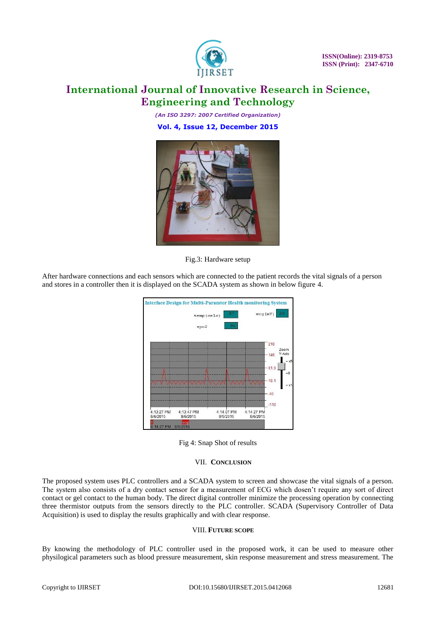![](_page_4_Picture_0.jpeg)

 **ISSN(Online): 2319-8753 ISSN (Print): 2347-6710** 

## **International Journal of Innovative Research in Science, Engineering and Technology**

*(An ISO 3297: 2007 Certified Organization)* **Vol. 4, Issue 12, December 2015**

![](_page_4_Picture_4.jpeg)

Fig.3: Hardware setup

After hardware connections and each sensors which are connected to the patient records the vital signals of a person and stores in a controller then it is displayed on the SCADA system as shown in below figure 4.

![](_page_4_Figure_7.jpeg)

Fig 4: Snap Shot of results

### VII. **CONCLUSION**

The proposed system uses PLC controllers and a SCADA system to screen and showcase the vital signals of a person. The system also consists of a dry contact sensor for a measurement of ECG which dosen't require any sort of direct contact or gel contact to the human body. The direct digital controller minimize the processing operation by connecting three thermistor outputs from the sensors directly to the PLC controller. SCADA (Supervisory Controller of Data Acquisition) is used to display the results graphically and with clear response.

#### VIII. **FUTURE SCOPE**

By knowing the methodology of PLC controller used in the proposed work, it can be used to measure other physilogical parameters such as blood pressure measurement, skin response measurement and stress measurement. The